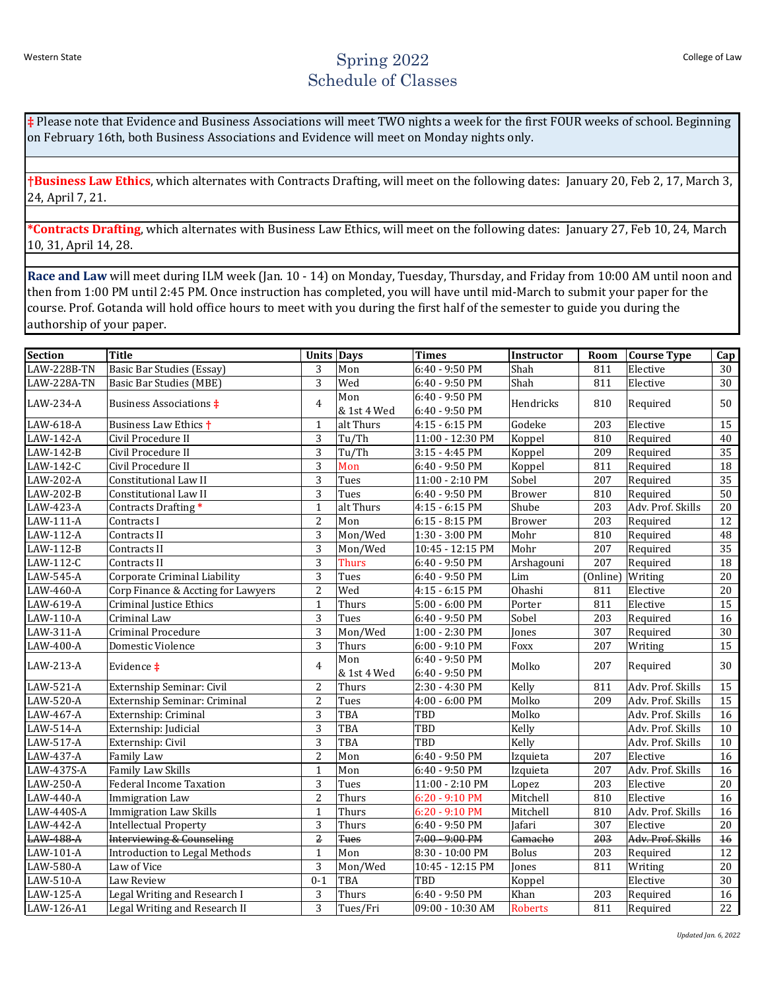## Western State Spring 2022 Schedule of Classes

**‡** Please note that Evidence and Business Associations will meet TWO nights a week for the first FOUR weeks of school. Beginning on February 16th, both Business Associations and Evidence will meet on Monday nights only.

**†Business Law Ethics**, which alternates with Contracts Drafting, will meet on the following dates: January 20, Feb 2, 17, March 3, 24, April 7, 21.

**\*Contracts Drafting**, which alternates with Business Law Ethics, will meet on the following dates: January 27, Feb 10, 24, March 10, 31, April 14, 28.

**Race and Law** will meet during ILM week (Jan. 10 - 14) on Monday, Tuesday, Thursday, and Friday from 10:00 AM until noon and then from 1:00 PM until 2:45 PM. Once instruction has completed, you will have until mid-March to submit your paper for the course. Prof. Gotanda will hold office hours to meet with you during the first half of the semester to guide you during the authorship of your paper.

| <b>Section</b>          | <b>Title</b>                         | <b>Units Days</b> |                    | <b>Times</b>                       | Instructor     | Room     | <b>Course Type</b> | Cap |
|-------------------------|--------------------------------------|-------------------|--------------------|------------------------------------|----------------|----------|--------------------|-----|
| <b>LAW-228B-TN</b>      | Basic Bar Studies (Essay)            | 3                 | Mon                | 6:40 - 9:50 PM                     | Shah           | 811      | Elective           | 30  |
| LAW-228A-TN             | Basic Bar Studies (MBE)              | 3                 | Wed                | 6:40 - 9:50 PM                     | Shah           | 811      | Elective           | 30  |
| LAW-234-A               | <b>Business Associations ‡</b>       | $\overline{4}$    | Mon<br>& 1st 4 Wed | 6:40 - 9:50 PM<br>6:40 - 9:50 PM   | Hendricks      | 810      | Required           | 50  |
| LAW-618-A               | Business Law Ethics +                | 1                 | alt Thurs          | 4:15 - 6:15 PM                     | Godeke         | 203      | Elective           | 15  |
| LAW-142-A               | Civil Procedure II                   | 3                 | Tu/Th              | 11:00 - 12:30 PM                   | Koppel         | 810      | Required           | 40  |
| LAW-142-B               | Civil Procedure II                   | 3                 | Tu/Th              | $3:15 - 4:45$ PM                   | Koppel         | 209      | Required           | 35  |
| LAW-142-C               | Civil Procedure II                   | 3                 | Mon                | $6:40 - 9:50$ PM                   | Koppel         | 811      | Required           | 18  |
| LAW-202-A               | <b>Constitutional Law II</b>         | 3                 | Tues               | 11:00 - 2:10 PM                    | Sobel          | 207      | Required           | 35  |
| LAW-202-B               | Constitutional Law II                | 3                 | Tues               | 6:40 - 9:50 PM                     | <b>Brower</b>  | 810      | Required           | 50  |
| LAW-423-A               | Contracts Drafting*                  | $\mathbf{1}$      | alt Thurs          | 4:15 - 6:15 PM                     | Shube          | 203      | Adv. Prof. Skills  | 20  |
| LAW-111-A               | Contracts I                          | $\overline{2}$    | Mon                | $6:15 - 8:15$ PM                   | <b>Brower</b>  | 203      | Required           | 12  |
| $\overline{LAW}$ -112-A | Contracts II                         | 3                 | Mon/Wed            | 1:30 - 3:00 PM                     | Mohr           | 810      | Required           | 48  |
| LAW-112-B               | Contracts II                         | 3                 | Mon/Wed            | 10:45 - 12:15 PM                   | Mohr           | 207      | Required           | 35  |
| LAW-112-C               | Contracts II                         | 3                 | <b>Thurs</b>       | 6:40 - 9:50 PM                     | Arshagouni     | 207      | Required           | 18  |
| LAW-545-A               | Corporate Criminal Liability         | 3                 | Tues               | 6:40 - 9:50 PM                     | Lim            | (Online) | Writing            | 20  |
| LAW-460-A               | Corp Finance & Accting for Lawyers   | $\overline{2}$    | Wed                | 4:15 - 6:15 PM                     | Ohashi         | 811      | Elective           | 20  |
| $\overline{LAW}$ -619-A | <b>Criminal Justice Ethics</b>       | $\mathbf{1}$      | Thurs              | 5:00 - 6:00 PM                     | Porter         | 811      | Elective           | 15  |
| $\overline{LAW-110-A}$  | Criminal Law                         | 3                 | Tues               | 6:40 - 9:50 PM                     | Sobel          | 203      | Required           | 16  |
| LAW-311-A               | <b>Criminal Procedure</b>            | 3                 | Mon/Wed            | 1:00 - 2:30 PM                     | <b>Jones</b>   | 307      | Required           | 30  |
| LAW-400-A               | <b>Domestic Violence</b>             | $\overline{3}$    | Thurs              | 6:00 - 9:10 PM                     | Foxx           | 207      | Writing            | 15  |
| LAW-213-A               | Evidence ‡                           | $\overline{4}$    | Mon<br>& 1st 4 Wed | $6:40 - 9:50$ PM<br>6:40 - 9:50 PM | Molko          | 207      | Required           | 30  |
| LAW-521-A               | Externship Seminar: Civil            | $\overline{2}$    | Thurs              | 2:30 - 4:30 PM                     | Kelly          | 811      | Adv. Prof. Skills  | 15  |
| LAW-520-A               | Externship Seminar: Criminal         | $\overline{2}$    | Tues               | 4:00 - 6:00 PM                     | Molko          | 209      | Adv. Prof. Skills  | 15  |
| LAW-467-A               | Externship: Criminal                 | 3                 | TBA                | TBD                                | Molko          |          | Adv. Prof. Skills  | 16  |
| LAW-514-A               | Externship: Judicial                 | 3                 | TBA                | TBD                                | Kelly          |          | Adv. Prof. Skills  | 10  |
| LAW-517-A               | Externship: Civil                    | 3                 | TBA                | TBD                                | Kelly          |          | Adv. Prof. Skills  | 10  |
| LAW-437-A               | Family Law                           | $\overline{2}$    | Mon                | 6:40 - 9:50 PM                     | Izquieta       | 207      | Elective           | 16  |
| LAW-437S-A              | Family Law Skills                    | $\mathbf{1}$      | Mon                | 6:40 - 9:50 PM                     | Izquieta       | 207      | Adv. Prof. Skills  | 16  |
| LAW-250-A               | <b>Federal Income Taxation</b>       | 3                 | Tues               | 11:00 - 2:10 PM                    | Lopez          | 203      | Elective           | 20  |
| LAW-440-A               | <b>Immigration Law</b>               | $\overline{2}$    | Thurs              | $6:20 - 9:10$ PM                   | Mitchell       | 810      | Elective           | 16  |
| LAW-440S-A              | <b>Immigration Law Skills</b>        | $\mathbf{1}$      | Thurs              | 6:20 - 9:10 PM                     | Mitchell       | 810      | Adv. Prof. Skills  | 16  |
| LAW-442-A               | <b>Intellectual Property</b>         | $\overline{3}$    | Thurs              | 6:40 - 9:50 PM                     | Jafari         | 307      | Elective           | 20  |
| <b>LAW-488-A</b>        | Interviewing & Counseling            | $\overline{2}$    | <b>Tues</b>        | 7:00 - 9:00 PM                     | Camacho        | 203      | Adv. Prof. Skills  | 16  |
| LAW-101-A               | <b>Introduction to Legal Methods</b> | $\mathbf{1}$      | Mon                | 8:30 - 10:00 PM                    | <b>Bolus</b>   | 203      | Required           | 12  |
| LAW-580-A               | Law of Vice                          | 3                 | Mon/Wed            | 10:45 - 12:15 PM                   | Jones          | 811      | Writing            | 20  |
| LAW-510-A               | Law Review                           | $0 - 1$           | TBA                | TBD                                | Koppel         |          | Elective           | 30  |
| LAW-125-A               | Legal Writing and Research I         | $\overline{3}$    | Thurs              | 6:40 - 9:50 PM                     | Khan           | 203      | Required           | 16  |
| LAW-126-A1              | Legal Writing and Research II        | 3                 | Tues/Fri           | 09:00 - 10:30 AM                   | <b>Roberts</b> | 811      | Required           | 22  |